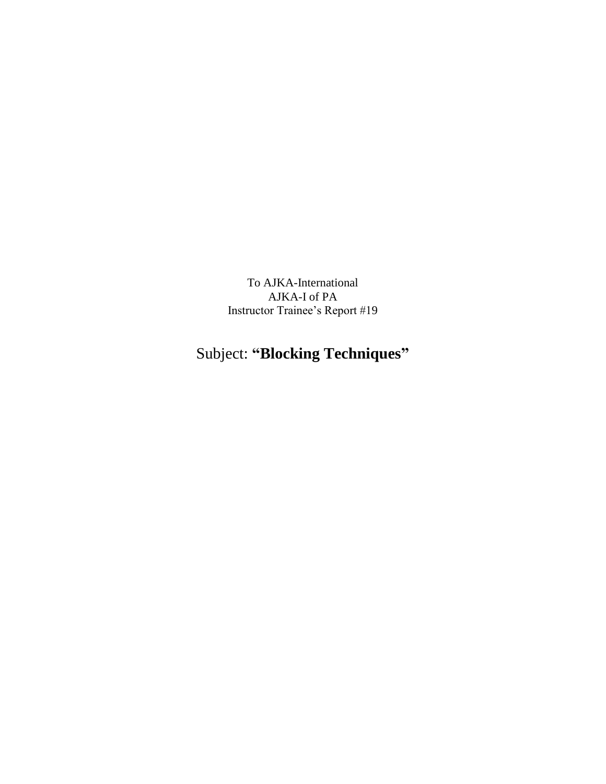To AJKA-International AJKA-I of PA Instructor Trainee's Report #19

## Subject: **"Blocking Techniques"**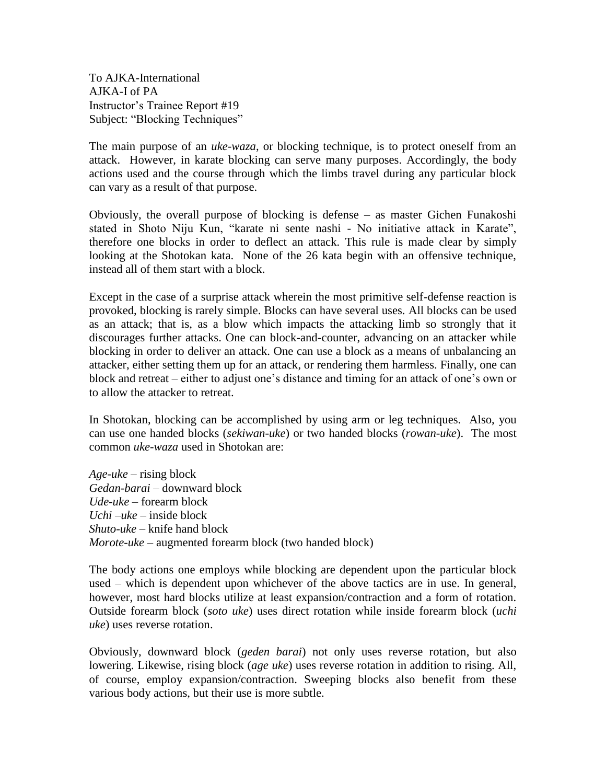To AJKA-International AJKA-I of PA Instructor's Trainee Report #19 Subject: "Blocking Techniques"

The main purpose of an *uke-waza*, or blocking technique, is to protect oneself from an attack. However, in karate blocking can serve many purposes. Accordingly, the body actions used and the course through which the limbs travel during any particular block can vary as a result of that purpose.

Obviously, the overall purpose of blocking is defense – as master Gichen Funakoshi stated in Shoto Niju Kun, "karate ni sente nashi - No initiative attack in Karate", therefore one blocks in order to deflect an attack. This rule is made clear by simply looking at the Shotokan kata. None of the 26 kata begin with an offensive technique, instead all of them start with a block.

Except in the case of a surprise attack wherein the most primitive self-defense reaction is provoked, blocking is rarely simple. Blocks can have several uses. All blocks can be used as an attack; that is, as a blow which impacts the attacking limb so strongly that it discourages further attacks. One can block-and-counter, advancing on an attacker while blocking in order to deliver an attack. One can use a block as a means of unbalancing an attacker, either setting them up for an attack, or rendering them harmless. Finally, one can block and retreat – either to adjust one's distance and timing for an attack of one's own or to allow the attacker to retreat.

In Shotokan, blocking can be accomplished by using arm or leg techniques. Also, you can use one handed blocks (*sekiwan-uke*) or two handed blocks (*rowan-uke*). The most common *uke-waza* used in Shotokan are:

*Age-uke* – rising block *Gedan-barai* – downward block *Ude-uke* – forearm block *Uchi –uke* – inside block *Shuto-uke* – knife hand block *Morote-uke* – augmented forearm block (two handed block)

The body actions one employs while blocking are dependent upon the particular block used – which is dependent upon whichever of the above tactics are in use. In general, however, most hard blocks utilize at least expansion/contraction and a form of rotation. Outside forearm block (*soto uke*) uses direct rotation while inside forearm block (*uchi uke*) uses reverse rotation.

Obviously, downward block (*geden barai*) not only uses reverse rotation, but also lowering. Likewise, rising block (*age uke*) uses reverse rotation in addition to rising. All, of course, employ expansion/contraction. Sweeping blocks also benefit from these various body actions, but their use is more subtle.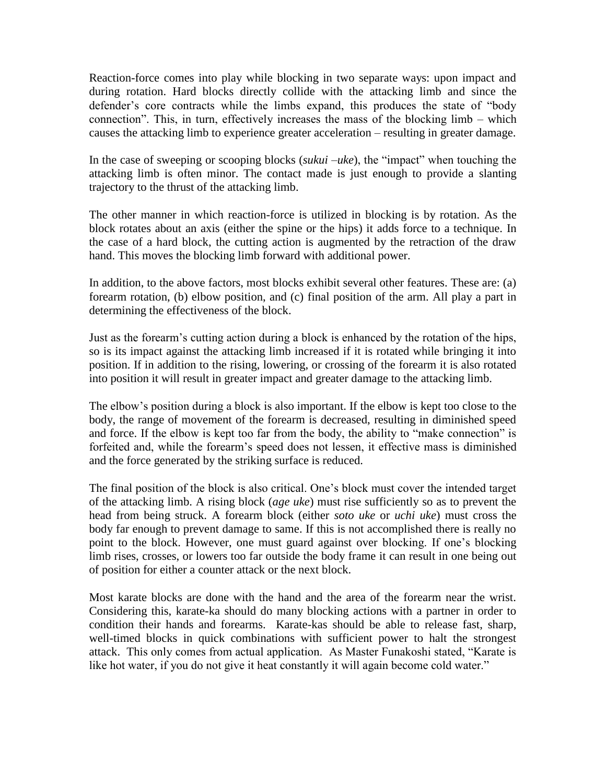Reaction-force comes into play while blocking in two separate ways: upon impact and during rotation. Hard blocks directly collide with the attacking limb and since the defender's core contracts while the limbs expand, this produces the state of "body connection". This, in turn, effectively increases the mass of the blocking limb – which causes the attacking limb to experience greater acceleration – resulting in greater damage.

In the case of sweeping or scooping blocks (*sukui –uke*), the "impact" when touching the attacking limb is often minor. The contact made is just enough to provide a slanting trajectory to the thrust of the attacking limb.

The other manner in which reaction-force is utilized in blocking is by rotation. As the block rotates about an axis (either the spine or the hips) it adds force to a technique. In the case of a hard block, the cutting action is augmented by the retraction of the draw hand. This moves the blocking limb forward with additional power.

In addition, to the above factors, most blocks exhibit several other features. These are: (a) forearm rotation, (b) elbow position, and (c) final position of the arm. All play a part in determining the effectiveness of the block.

Just as the forearm's cutting action during a block is enhanced by the rotation of the hips, so is its impact against the attacking limb increased if it is rotated while bringing it into position. If in addition to the rising, lowering, or crossing of the forearm it is also rotated into position it will result in greater impact and greater damage to the attacking limb.

The elbow's position during a block is also important. If the elbow is kept too close to the body, the range of movement of the forearm is decreased, resulting in diminished speed and force. If the elbow is kept too far from the body, the ability to "make connection" is forfeited and, while the forearm's speed does not lessen, it effective mass is diminished and the force generated by the striking surface is reduced.

The final position of the block is also critical. One's block must cover the intended target of the attacking limb. A rising block (*age uke*) must rise sufficiently so as to prevent the head from being struck. A forearm block (either *soto uke* or *uchi uke*) must cross the body far enough to prevent damage to same. If this is not accomplished there is really no point to the block. However, one must guard against over blocking. If one's blocking limb rises, crosses, or lowers too far outside the body frame it can result in one being out of position for either a counter attack or the next block.

Most karate blocks are done with the hand and the area of the forearm near the wrist. Considering this, karate-ka should do many blocking actions with a partner in order to condition their hands and forearms. Karate-kas should be able to release fast, sharp, well-timed blocks in quick combinations with sufficient power to halt the strongest attack. This only comes from actual application. As Master Funakoshi stated, "Karate is like hot water, if you do not give it heat constantly it will again become cold water."